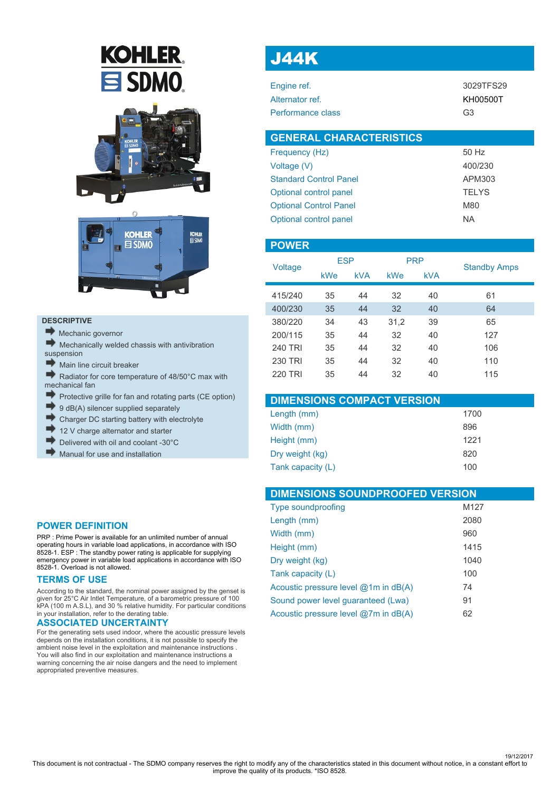# **KOHLER**  $\mathbf{\Xi}$  SDMO





### **DESCRIPTIVE**

- Mechanic governor
- $\blacktriangleright$  Mechanically welded chassis with antivibration suspension
- Main line circuit breaker
- Radiator for core temperature of 48/50°C max with mechanical fan
- × Protective grille for fan and rotating parts (CE option)
- 9 dB(A) silencer supplied separately
- Charger DC starting battery with electrolyte
- 12 V charge alternator and starter
- Delivered with oil and coolant -30°C
- Manual for use and installation

#### **POWER DEFINITION**

PRP : Prime Power is available for an unlimited number of annual operating hours in variable load applications, in accordance with ISO 8528-1. ESP : The standby power rating is applicable for supplying emergency power in variable load applications in accordance with ISO 8528-1. Overload is not allowed.

### **TERMS OF USE**

According to the standard, the nominal power assigned by the genset is given for 25°C Air Intlet Temperature, of a barometric pressure of 100 kPA (100 m A.S.L), and 30 % relative humidity. For particular conditions in your installation, refer to the derating table.

### **ASSOCIATED UNCERTAINTY**

For the generating sets used indoor, where the acoustic pressure levels depends on the installation conditions, it is not possible to specify the ambient noise level in the exploitation and maintenance instructions . You will also find in our exploitation and maintenance instructions a warning concerning the air noise dangers and the need to implement appropriated preventive measures.

# J44K

| 3029TFS29 |
|-----------|
| KH00500T  |
| G3        |
|           |

| <b>GENERAL CHARACTERISTICS</b> |              |
|--------------------------------|--------------|
| Frequency (Hz)                 | 50 Hz        |
| Voltage (V)                    | 400/230      |
| <b>Standard Control Panel</b>  | APM303       |
| Optional control panel         | <b>TELYS</b> |
| <b>Optional Control Panel</b>  | M80          |
| Optional control panel         | ΝA           |

| <b>POWER</b>   |            |            |            |            |                     |
|----------------|------------|------------|------------|------------|---------------------|
| Voltage        | <b>ESP</b> |            | <b>PRP</b> |            | <b>Standby Amps</b> |
|                | kWe        | <b>kVA</b> | kWe        | <b>kVA</b> |                     |
| 415/240        | 35         | 44         | 32         | 40         | 61                  |
| 400/230        | 35         | 44         | 32         | 40         | 64                  |
| 380/220        | 34         | 43         | 31,2       | 39         | 65                  |
| 200/115        | 35         | 44         | 32         | 40         | 127                 |
| <b>240 TRI</b> | 35         | 44         | 32         | 40         | 106                 |
| <b>230 TRI</b> | 35         | 44         | 32         | 40         | 110                 |
| <b>220 TRI</b> | 35         | 44         | 32         | 40         | 115                 |

| <b>DIMENSIONS COMPACT VERSION</b> |      |
|-----------------------------------|------|
| Length (mm)                       | 1700 |
| Width (mm)                        | 896  |
| Height (mm)                       | 1221 |
| Dry weight (kg)                   | 820  |
| Tank capacity (L)                 | 100  |

| <b>DIMENSIONS SOUNDPROOFED VERSION</b>   |      |
|------------------------------------------|------|
| <b>Type soundproofing</b>                | M127 |
| Length (mm)                              | 2080 |
| Width (mm)                               | 960  |
| Height (mm)                              | 1415 |
| Dry weight (kg)                          | 1040 |
| Tank capacity (L)                        | 100  |
| Acoustic pressure level $@1m$ in $dB(A)$ | 74   |
| Sound power level quaranteed (Lwa)       | 91   |
| Acoustic pressure level @7m in dB(A)     | 62   |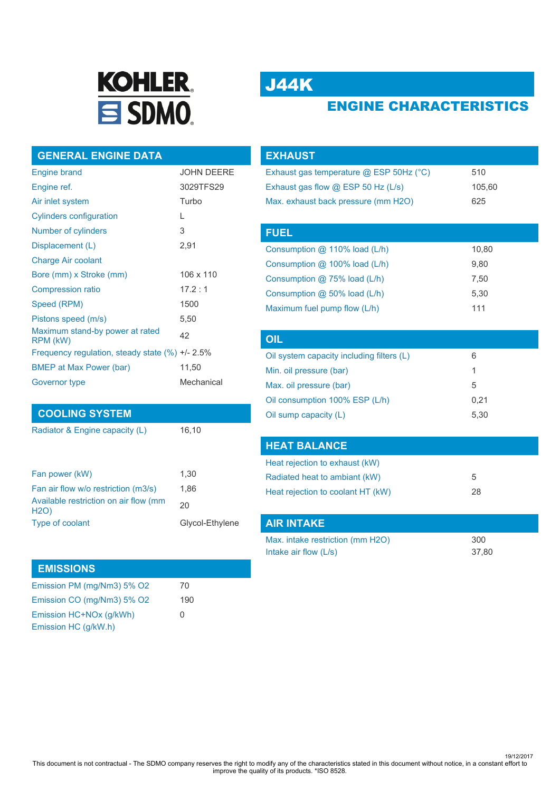

# J44K

# ENGINE CHARACTERISTICS

## **GENERAL ENGINE DATA**

| <b>Engine brand</b>                               | <b>JOHN DEERE</b> |
|---------------------------------------------------|-------------------|
| Engine ref.                                       | 3029TFS29         |
| Air inlet system                                  | Turbo             |
| <b>Cylinders configuration</b>                    | L                 |
| Number of cylinders                               | 3                 |
| Displacement (L)                                  | 2,91              |
| <b>Charge Air coolant</b>                         |                   |
| Bore (mm) x Stroke (mm)                           | 106 x 110         |
| <b>Compression ratio</b>                          | 17.2:1            |
| Speed (RPM)                                       | 1500              |
| Pistons speed (m/s)                               | 5,50              |
| Maximum stand-by power at rated<br>RPM (kW)       | 42                |
| Frequency regulation, steady state $(\%) +12.5\%$ |                   |
| <b>BMEP at Max Power (bar)</b>                    | 11,50             |
| Governor type                                     | Mechanical        |

## **COOLING SYSTEM**

Radiator & Engine capacity (L) 16,10

| Fan power (kW)                                | 1.30            |
|-----------------------------------------------|-----------------|
| Fan air flow w/o restriction (m3/s)           | 1.86            |
| Available restriction on air flow (mm<br>H2O) | 20              |
| Type of coolant                               | Glycol-Ethylene |

### **EMISSIONS**

| Emission PM (mg/Nm3) 5% O2 | 70           |
|----------------------------|--------------|
| Emission CO (mg/Nm3) 5% O2 | 190          |
| Emission HC+NOx (q/kWh)    | <sup>0</sup> |
| Emission HC (g/kW.h)       |              |

| <b>EXHAUST</b>                            |        |
|-------------------------------------------|--------|
| Exhaust gas temperature @ ESP 50Hz (°C)   | 510    |
| Exhaust gas flow $@$ ESP 50 Hz (L/s)      | 105,60 |
| Max. exhaust back pressure (mm H2O)       | 625    |
|                                           |        |
| <b>FUEL</b>                               |        |
| Consumption @ 110% load (L/h)             | 10,80  |
| Consumption @ 100% load (L/h)             | 9,80   |
| Consumption @ 75% load (L/h)              | 7,50   |
| Consumption @ 50% load (L/h)              | 5,30   |
| Maximum fuel pump flow (L/h)              | 111    |
|                                           |        |
| OIL                                       |        |
| Oil system capacity including filters (L) | 6      |

| 1    |
|------|
| 5    |
| 0.21 |
| 5.30 |
|      |

## **HEAT BALANCE**

| Heat rejection to exhaust (kW)    |    |
|-----------------------------------|----|
| Radiated heat to ambiant (kW)     | 5  |
| Heat rejection to coolant HT (kW) | 28 |

| <b>AIR INTAKE</b>                |       |
|----------------------------------|-------|
| Max. intake restriction (mm H2O) | 300   |
| Intake air flow $(L/s)$          | 37.80 |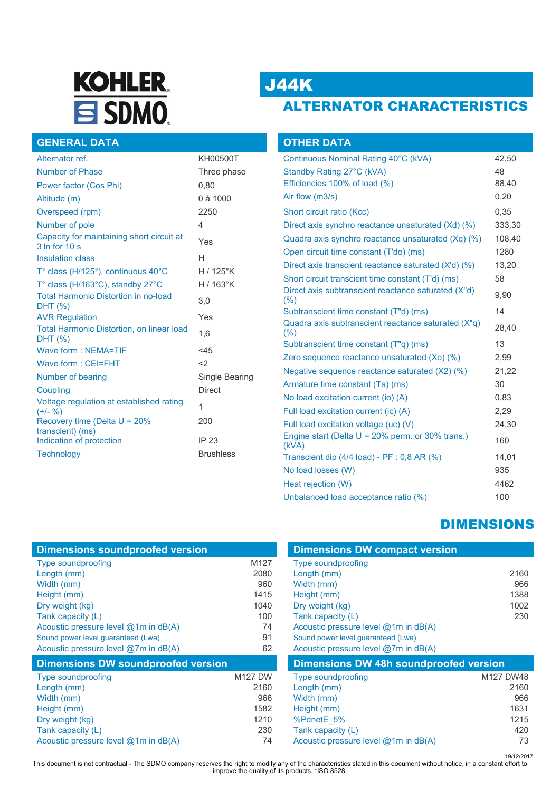# **KOHLER**  $\equiv$  SDMO.

# J44K

# ALTERNATOR CHARACTERISTICS

|  | <b>GENERAL DATA</b> |
|--|---------------------|
|  |                     |
|  |                     |

| Alternator ref.                                                   | KH00500T         |
|-------------------------------------------------------------------|------------------|
| Number of Phase                                                   | Three phase      |
| Power factor (Cos Phi)                                            | 0,80             |
| Altitude (m)                                                      | 0 à 1000         |
| Overspeed (rpm)                                                   | 2250             |
| Number of pole                                                    | 4                |
| Capacity for maintaining short circuit at<br>3 In for 10 s        | Yes              |
| <b>Insulation class</b>                                           | Н                |
| $T^{\circ}$ class (H/125 $^{\circ}$ ), continuous 40 $^{\circ}$ C | $H/125^\circ K$  |
| T° class (H/163°C), standby 27°C                                  | H / 163°K        |
| <b>Total Harmonic Distortion in no-load</b><br>DHT (%)            | 3.0              |
| <b>AVR Regulation</b>                                             | Yes              |
| <b>Total Harmonic Distortion, on linear load</b><br>DHT (%)       | 1,6              |
| Wave form: NEMA=TIF                                               | $<$ 45           |
| Wave form: CEI=FHT                                                | $<$ 2            |
| Number of bearing                                                 | Single Bearing   |
| Coupling                                                          | <b>Direct</b>    |
| Voltage regulation at established rating<br>$(+/- 96)$            | 1                |
| Recovery time (Delta $U = 20\%$                                   | 200              |
| transcient) (ms)<br>Indication of protection                      | IP 23            |
| <b>Technology</b>                                                 | <b>Brushless</b> |
|                                                                   |                  |

| <b>OTHER DATA</b>                                            |        |
|--------------------------------------------------------------|--------|
| Continuous Nominal Rating 40°C (kVA)                         | 42,50  |
| Standby Rating 27°C (kVA)                                    | 48     |
| Efficiencies 100% of load (%)                                | 88,40  |
| Air flow (m3/s)                                              | 0,20   |
| Short circuit ratio (Kcc)                                    | 0,35   |
| Direct axis synchro reactance unsaturated (Xd) (%)           | 333,30 |
| Quadra axis synchro reactance unsaturated (Xq) (%)           | 108,40 |
| Open circuit time constant (T'do) (ms)                       | 1280   |
| Direct axis transcient reactance saturated (X'd) (%)         | 13,20  |
| Short circuit transcient time constant (T'd) (ms)            | 58     |
| Direct axis subtranscient reactance saturated (X"d)<br>(%)   | 9,90   |
| Subtranscient time constant (T"d) (ms)                       | 14     |
| Quadra axis subtranscient reactance saturated (X"q)<br>(% )  | 28,40  |
| Subtranscient time constant (T"q) (ms)                       | 13     |
| Zero sequence reactance unsaturated (Xo) (%)                 | 2,99   |
| Negative sequence reactance saturated (X2) (%)               | 21,22  |
| Armature time constant (Ta) (ms)                             | 30     |
| No load excitation current (io) (A)                          | 0,83   |
| Full load excitation current (ic) (A)                        | 2,29   |
| Full load excitation voltage (uc) (V)                        | 24,30  |
| Engine start (Delta $U = 20\%$ perm. or 30% trans.)<br>(kVA) | 160    |
| Transcient dip (4/4 load) - PF : 0,8 AR (%)                  | 14,01  |
| No load losses (W)                                           | 935    |
| Heat rejection (W)                                           | 4462   |
| Unbalanced load acceptance ratio (%)                         | 100    |

# DIMENSIONS

| <b>Dimensions soundproofed version</b>    |                | <b>Dimensions DW compact version</b>          |           |
|-------------------------------------------|----------------|-----------------------------------------------|-----------|
| <b>Type soundproofing</b>                 | M127           | <b>Type soundproofing</b>                     |           |
| Length (mm)                               | 2080           | Length (mm)                                   | 2160      |
| Width (mm)                                | 960            | Width (mm)                                    | 966       |
| Height (mm)                               | 1415           | Height (mm)                                   | 1388      |
| Dry weight (kg)                           | 1040           | Dry weight (kg)                               | 1002      |
| Tank capacity (L)                         | 100            | Tank capacity (L)                             | 230       |
| Acoustic pressure level @1m in dB(A)      | 74             | Acoustic pressure level @1m in dB(A)          |           |
| Sound power level guaranteed (Lwa)        | 91             | Sound power level guaranteed (Lwa)            |           |
| Acoustic pressure level @7m in dB(A)      | 62             | Acoustic pressure level @7m in dB(A)          |           |
| <b>Dimensions DW soundproofed version</b> |                | <b>Dimensions DW 48h soundproofed version</b> |           |
| <b>Type soundproofing</b>                 | <b>M127 DW</b> | <b>Type soundproofing</b>                     | M127 DW48 |
| Length (mm)                               | 2160           | Length (mm)                                   | 2160      |
| Width (mm)                                | 966            | Width (mm)                                    | 966       |
| Height (mm)                               | 1582           | Height (mm)                                   | 1631      |
| Dry weight (kg)                           | 1210           | %PdnetE 5%                                    | 1215      |
| Tank capacity (L)                         | 230            | Tank capacity (L)                             | 420       |
| Acoustic pressure level @1m in dB(A)      | 74             | Acoustic pressure level @1m in dB(A)          | 73        |

19/12/2017 This document is not contractual - The SDMO company reserves the right to modify any of the characteristics stated in this document without notice, in a constant effort to improve the quality of its products. \*ISO 8528.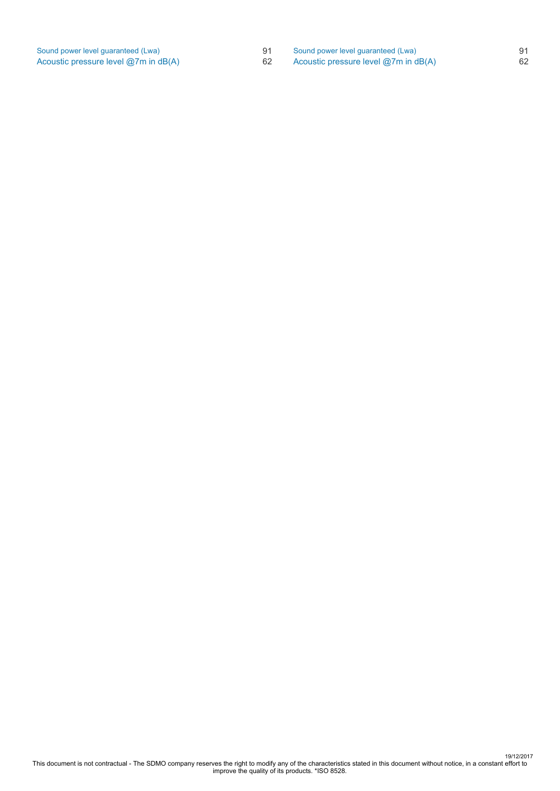| Sound power level guaranteed (Lwa)       | 91 |
|------------------------------------------|----|
| Acoustic pressure level $@7m$ in $dB(A)$ | 62 |

Sound power level guaranteed (Lwa) 91<br>Acoustic pressure level @7m in dB(A) 62 Acoustic pressure level  $@7m$  in dB(A)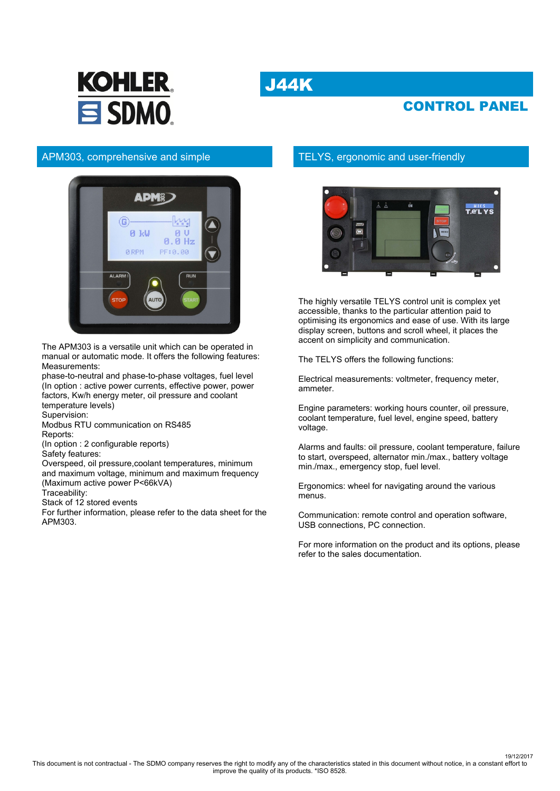# J44K



## CONTROL PANEL

## APM303, comprehensive and simple



The APM303 is a versatile unit which can be operated in manual or automatic mode. It offers the following features: Measurements:

phase-to-neutral and phase-to-phase voltages, fuel level (In option : active power currents, effective power, power factors, Kw/h energy meter, oil pressure and coolant temperature levels)

Supervision:

Modbus RTU communication on RS485 Reports:

(In option : 2 configurable reports)

Safety features:

Overspeed, oil pressure,coolant temperatures, minimum and maximum voltage, minimum and maximum frequency (Maximum active power P<66kVA)

Traceability:

Stack of 12 stored events

For further information, please refer to the data sheet for the APM303.

## TELYS, ergonomic and user-friendly



The highly versatile TELYS control unit is complex yet accessible, thanks to the particular attention paid to optimising its ergonomics and ease of use. With its large display screen, buttons and scroll wheel, it places the accent on simplicity and communication.

The TELYS offers the following functions:

Electrical measurements: voltmeter, frequency meter, ammeter.

Engine parameters: working hours counter, oil pressure, coolant temperature, fuel level, engine speed, battery voltage.

Alarms and faults: oil pressure, coolant temperature, failure to start, overspeed, alternator min./max., battery voltage min./max., emergency stop, fuel level.

Ergonomics: wheel for navigating around the various menus.

Communication: remote control and operation software, USB connections, PC connection.

For more information on the product and its options, please refer to the sales documentation.